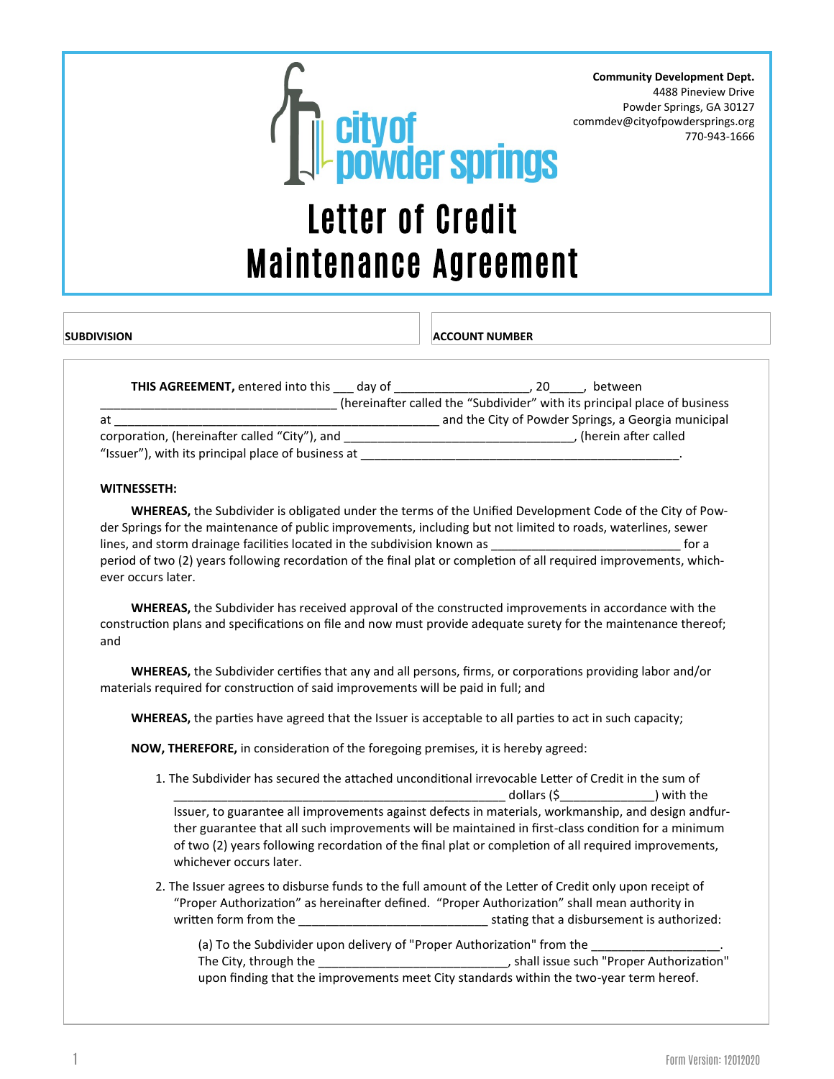

**Community Development Dept.** 4488 Pineview Drive Powder Springs, GA 30127 commdev@cityofpowdersprings.org 770-943-1666

## Letter of Credit Maintenance Agreement

**SUBDIVISION ACCOUNT NUMBER**

| <b>THIS AGREEMENT, entered into this</b><br>dav of | between<br>20                                                             |
|----------------------------------------------------|---------------------------------------------------------------------------|
|                                                    | (hereinafter called the "Subdivider" with its principal place of business |
| at                                                 | and the City of Powder Springs, a Georgia municipal                       |
| corporation, (hereinafter called "City"), and      | (herein after called                                                      |
| "Issuer"), with its principal place of business at |                                                                           |

## **WITNESSETH:**

 **WHEREAS,** the Subdivider is obligated under the terms of the Unified Development Code of the City of Powder Springs for the maintenance of public improvements, including but not limited to roads, waterlines, sewer lines, and storm drainage facilities located in the subdivision known as \_\_\_\_\_\_\_\_\_\_\_\_\_\_\_\_\_\_\_\_\_\_\_\_\_\_\_\_\_\_\_\_\_\_ for a period of two (2) years following recordation of the final plat or completion of all required improvements, whichever occurs later.

 **WHEREAS,** the Subdivider has received approval of the constructed improvements in accordance with the construction plans and specifications on file and now must provide adequate surety for the maintenance thereof; and

 **WHEREAS,** the Subdivider certifies that any and all persons, firms, or corporations providing labor and/or materials required for construction of said improvements will be paid in full; and

**WHEREAS,** the parties have agreed that the Issuer is acceptable to all parties to act in such capacity;

**NOW, THEREFORE,** in consideration of the foregoing premises, it is hereby agreed:

- 1. The Subdivider has secured the attached unconditional irrevocable Letter of Credit in the sum of \_\_\_\_\_\_\_\_\_\_\_\_\_\_\_\_\_\_\_\_\_\_\_\_\_\_\_\_\_\_\_\_\_\_\_\_\_\_\_\_\_\_\_\_\_\_\_\_\_ dollars (\$\_\_\_\_\_\_\_\_\_\_\_\_\_\_) with the Issuer, to guarantee all improvements against defects in materials, workmanship, and design andfurther guarantee that all such improvements will be maintained in first-class condition for a minimum of two (2) years following recordation of the final plat or completion of all required improvements, whichever occurs later.
- 2. The Issuer agrees to disburse funds to the full amount of the Letter of Credit only upon receipt of "Proper Authorization" as hereinafter defined. "Proper Authorization" shall mean authority in written form from the \_\_\_\_\_\_\_\_\_\_\_\_\_\_\_\_\_\_\_\_\_\_\_\_\_\_\_\_ stating that a disbursement is authorized:

(a) To the Subdivider upon delivery of "Proper Authorization" from the The City, through the \_\_\_\_\_\_\_\_\_\_\_\_\_\_\_\_\_\_\_\_\_\_\_\_\_\_\_\_, shall issue such "Proper Authorization" upon finding that the improvements meet City standards within the two-year term hereof.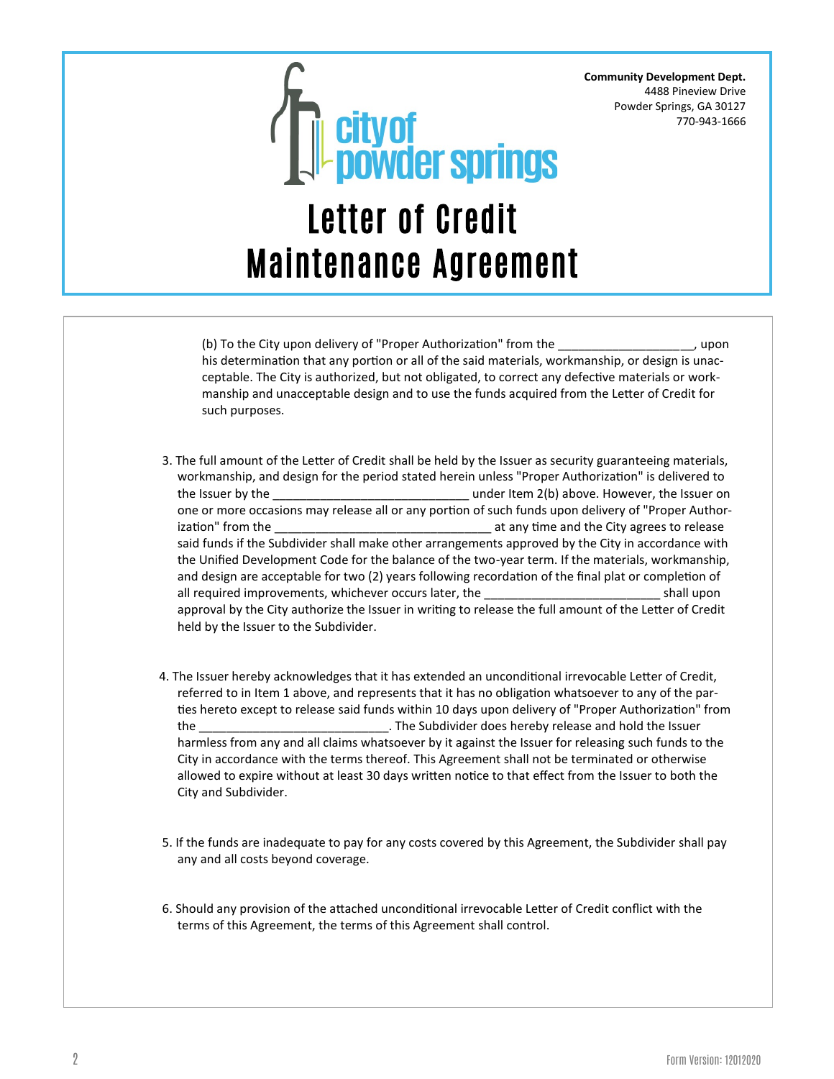**Community Development Dept.** 4488 Pineview Drive Powder Springs, GA 30127 770-943-1666



(b) To the City upon delivery of "Proper Authorization" from the \_\_\_\_\_\_\_\_\_\_\_\_\_\_\_\_\_\_\_\_, upon his determination that any portion or all of the said materials, workmanship, or design is unacceptable. The City is authorized, but not obligated, to correct any defective materials or workmanship and unacceptable design and to use the funds acquired from the Letter of Credit for such purposes.

- 3. The full amount of the Letter of Credit shall be held by the Issuer as security guaranteeing materials, workmanship, and design for the period stated herein unless "Proper Authorization" is delivered to the Issuer by the **the issuer on** the last of the Issuer on the Issuer on the Issuer on the Issuer on the Issuer on one or more occasions may release all or any portion of such funds upon delivery of "Proper Authorization" from the the contraction of the city agrees to release in a standard the City agrees to release said funds if the Subdivider shall make other arrangements approved by the City in accordance with the Unified Development Code for the balance of the two-year term. If the materials, workmanship, and design are acceptable for two (2) years following recordation of the final plat or completion of all required improvements, whichever occurs later, the the shall upon shall upon approval by the City authorize the Issuer in writing to release the full amount of the Letter of Credit held by the Issuer to the Subdivider.
- 4. The Issuer hereby acknowledges that it has extended an unconditional irrevocable Letter of Credit, referred to in Item 1 above, and represents that it has no obligation whatsoever to any of the parties hereto except to release said funds within 10 days upon delivery of "Proper Authorization" from the \_\_\_\_\_\_\_\_\_\_\_\_\_\_\_\_\_\_\_\_\_\_\_\_\_\_\_\_. The Subdivider does hereby release and hold the Issuer harmless from any and all claims whatsoever by it against the Issuer for releasing such funds to the City in accordance with the terms thereof. This Agreement shall not be terminated or otherwise allowed to expire without at least 30 days written notice to that effect from the Issuer to both the City and Subdivider.
- 5. If the funds are inadequate to pay for any costs covered by this Agreement, the Subdivider shall pay any and all costs beyond coverage.
- 6. Should any provision of the attached unconditional irrevocable Letter of Credit conflict with the terms of this Agreement, the terms of this Agreement shall control.